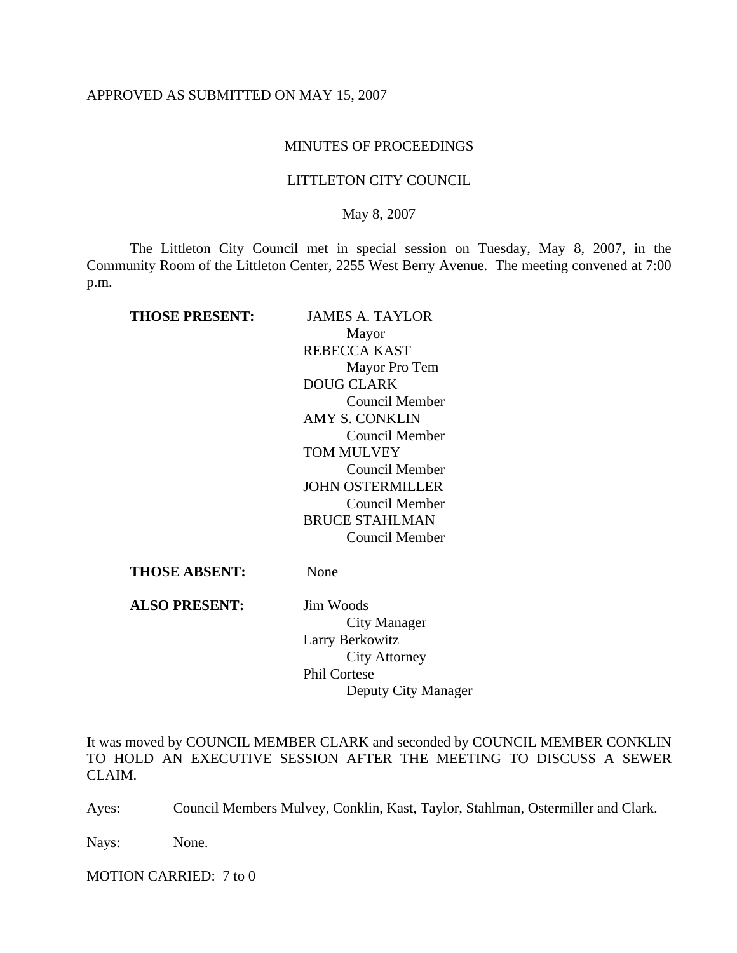## APPROVED AS SUBMITTED ON MAY 15, 2007

## MINUTES OF PROCEEDINGS

## LITTLETON CITY COUNCIL

## May 8, 2007

The Littleton City Council met in special session on Tuesday, May 8, 2007, in the Community Room of the Littleton Center, 2255 West Berry Avenue. The meeting convened at 7:00 p.m.

| <b>THOSE PRESENT:</b> | JAMES A. TAYLOR         |
|-----------------------|-------------------------|
|                       | Mayor                   |
|                       | REBECCA KAST            |
|                       | Mayor Pro Tem           |
|                       | <b>DOUG CLARK</b>       |
|                       | Council Member          |
|                       | <b>AMY S. CONKLIN</b>   |
|                       | Council Member          |
|                       | TOM MULVEY              |
|                       | Council Member          |
|                       | <b>JOHN OSTERMILLER</b> |
|                       | Council Member          |
|                       | <b>BRUCE STAHLMAN</b>   |
|                       | Council Member          |
| THOSE ABSENT:         | None                    |

**ALSO PRESENT:** Jim Woods City Manager Larry Berkowitz City Attorney Phil Cortese Deputy City Manager

It was moved by COUNCIL MEMBER CLARK and seconded by COUNCIL MEMBER CONKLIN TO HOLD AN EXECUTIVE SESSION AFTER THE MEETING TO DISCUSS A SEWER CLAIM.

Ayes: Council Members Mulvey, Conklin, Kast, Taylor, Stahlman, Ostermiller and Clark.

Nays: None.

MOTION CARRIED: 7 to 0